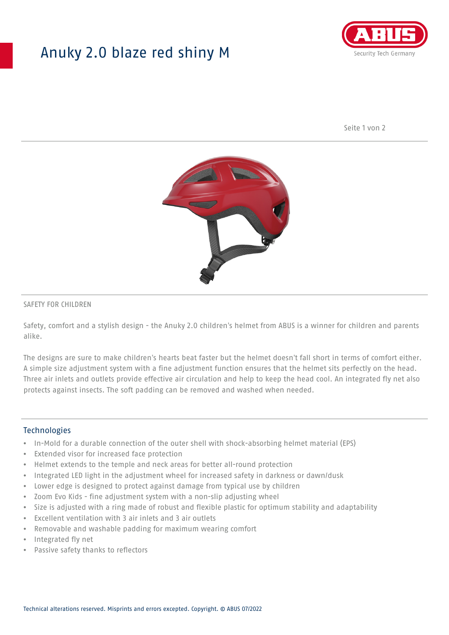# Anuky 2.0 blaze red shiny M



Seite 1 von 2



### SAFETY FOR CHILDREN

Safety, comfort and a stylish design - the Anuky 2.0 children's helmet from ABUS is a winner for children and parents alike.

The designs are sure to make children's hearts beat faster but the helmet doesn't fall short in terms of comfort either. A simple size adjustment system with a fine adjustment function ensures that the helmet sits perfectly on the head. Three air inlets and outlets provide effective air circulation and help to keep the head cool. An integrated fly net also protects against insects. The soft padding can be removed and washed when needed.

#### **Technologies**

- In-Mold for a durable connection of the outer shell with shock-absorbing helmet material (EPS)
- Extended visor for increased face protection
- Helmet extends to the temple and neck areas for better all-round protection
- Integrated LED light in the adjustment wheel for increased safety in darkness or dawn/dusk
- Lower edge is designed to protect against damage from typical use by children
- Zoom Evo Kids fine adjustment system with a non-slip adjusting wheel
- Size is adjusted with a ring made of robust and flexible plastic for optimum stability and adaptability
- Excellent ventilation with 3 air inlets and 3 air outlets
- Removable and washable padding for maximum wearing comfort
- Integrated fly net
- Passive safety thanks to reflectors